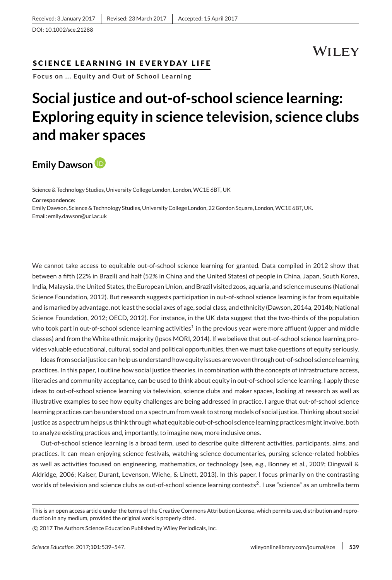DOI: 10.1002/sce.21288

# WILEY

## **SCIENCE LEARNING IN EVERYDAY LIFE**

**Focus on ... Equity and Out of School Learning**

# **Social justice and out-of-school science learning: Exploring equity in science television, science clubs and maker spaces**

## **Emily Dawson**

Science & Technology Studies, University College London, London, WC1E 6BT, UK

#### **Correspondence:**

Emily Dawson, Science & Technology Studies, University College London, 22 Gordon Square, London,WC1E 6BT, UK. Email: emily.dawson@ucl.ac.uk

We cannot take access to equitable out-of-school science learning for granted. Data compiled in 2012 show that between a fifth (22% in Brazil) and half (52% in China and the United States) of people in China, Japan, South Korea, India, Malaysia, the United States, the European Union, and Brazil visited zoos, aquaria, and science museums (National Science Foundation, 2012). But research suggests participation in out-of-school science learning is far from equitable and is marked by advantage, not least the social axes of age, social class, and ethnicity (Dawson, 2014a, 2014b; National Science Foundation, 2012; OECD, 2012). For instance, in the UK data suggest that the two-thirds of the population who took part in out-of-school science learning activities<sup>1</sup> in the previous year were more affluent (upper and middle classes) and from the White ethnic majority (Ipsos MORI, 2014). If we believe that out-of-school science learning provides valuable educational, cultural, social and political opportunities, then we must take questions of equity seriously.

Ideas from social justice can help us understand how equity issues are woven through out-of-school science learning practices. In this paper, I outline how social justice theories, in combination with the concepts of infrastructure access, literacies and community acceptance, can be used to think about equity in out-of-school science learning. I apply these ideas to out-of-school science learning via television, science clubs and maker spaces, looking at research as well as illustrative examples to see how equity challenges are being addressed in practice. I argue that out-of-school science learning practices can be understood on a spectrum from weak to strong models of social justice. Thinking about social justice as a spectrum helps us think through what equitable out-of-school science learning practices might involve, both to analyze existing practices and, importantly, to imagine new, more inclusive ones.

Out-of-school science learning is a broad term, used to describe quite different activities, participants, aims, and practices. It can mean enjoying science festivals, watching science documentaries, pursing science-related hobbies as well as activities focused on engineering, mathematics, or technology (see, e.g., Bonney et al., 2009; Dingwall & Aldridge, 2006; Kaiser, Durant, Levenson, Wiehe, & Linett, 2013). In this paper, I focus primarily on the contrasting worlds of television and science clubs as out-of-school science learning contexts<sup>2</sup>. I use "science" as an umbrella term

This is an open access article under the terms of the [Creative Commons Attribution](http://creativecommons.org/licenses/by/4.0/) License, which permits use, distribution and reproduction in any medium, provided the original work is properly cited.

<sup>-</sup>c 2017 The Authors Science Education Published by Wiley Periodicals, Inc.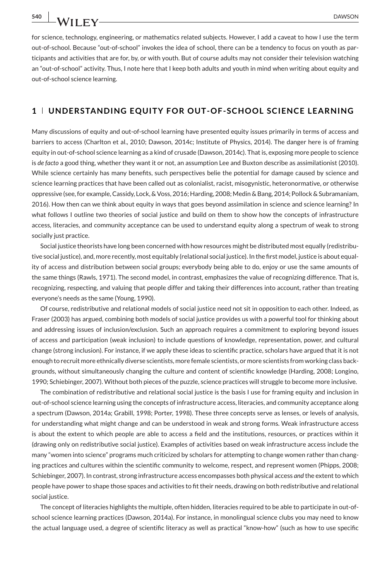for science, technology, engineering, or mathematics related subjects. However, I add a caveat to how I use the term out-of-school. Because "out-of-school" invokes the idea of school, there can be a tendency to focus on youth as participants and activities that are for, by, or with youth. But of course adults may not consider their television watching an "out-of-school" activity. Thus, I note here that I keep both adults and youth in mind when writing about equity and out-of-school science learning.

### **1 UNDERSTANDING EQUITY FOR OUT-OF-SCHOOL SCIENCE LEARNING**

Many discussions of equity and out-of-school learning have presented equity issues primarily in terms of access and barriers to access (Charlton et al., 2010; Dawson, 2014c; Institute of Physics, 2014). The danger here is of framing equity in out-of-school science learning as a kind of crusade (Dawson, 2014c). That is, exposing more people to science is *de facto* a good thing, whether they want it or not, an assumption Lee and Buxton describe as assimilationist (2010). While science certainly has many benefits, such perspectives belie the potential for damage caused by science and science learning practices that have been called out as colonialist, racist, misogynistic, heteronormative, or otherwise oppressive (see, for example, Cassidy, Lock, & Voss, 2016; Harding, 2008; Medin & Bang, 2014; Pollock & Subramaniam, 2016). How then can we think about equity in ways that goes beyond assimilation in science and science learning? In what follows I outline two theories of social justice and build on them to show how the concepts of infrastructure access, literacies, and community acceptance can be used to understand equity along a spectrum of weak to strong socially just practice.

Social justice theorists have long been concerned with how resources might be distributed most equally (redistributive social justice), and, more recently, most equitably (relational social justice). In the first model, justice is about equality of access and distribution between social groups; everybody being able to do, enjoy or use the same amounts of the same things (Rawls, 1971). The second model, in contrast, emphasizes the value of recognizing difference. That is, recognizing, respecting, and valuing that people differ and taking their differences into account, rather than treating everyone's needs as the same (Young, 1990).

Of course, redistributive and relational models of social justice need not sit in opposition to each other. Indeed, as Fraser (2003) has argued, combining both models of social justice provides us with a powerful tool for thinking about and addressing issues of inclusion/exclusion. Such an approach requires a commitment to exploring beyond issues of access and participation (weak inclusion) to include questions of knowledge, representation, power, and cultural change (strong inclusion). For instance, if we apply these ideas to scientific practice, scholars have argued that it is not enough to recruit more ethnically diverse scientists, more female scientists, or more scientists from working class backgrounds, without simultaneously changing the culture and content of scientific knowledge (Harding, 2008; Longino, 1990; Schiebinger, 2007). Without both pieces of the puzzle, science practices will struggle to become more inclusive.

The combination of redistributive and relational social justice is the basis I use for framing equity and inclusion in out-of-school science learning using the concepts of infrastructure access, literacies, and community acceptance along a spectrum (Dawson, 2014a; Grabill, 1998; Porter, 1998). These three concepts serve as lenses, or levels of analysis, for understanding what might change and can be understood in weak and strong forms. Weak infrastructure access is about the extent to which people are able to access a field and the institutions, resources, or practices within it (drawing only on redistributive social justice). Examples of activities based on weak infrastructure access include the many "women into science" programs much criticized by scholars for attempting to change women rather than changing practices and cultures within the scientific community to welcome, respect, and represent women (Phipps, 2008; Schiebinger, 2007). In contrast, strong infrastructure access encompasses both physical access *and* the extent to which people have power to shape those spaces and activities to fit their needs, drawing on both redistributive and relational social justice.

The concept of literacies highlights the multiple, often hidden, literacies required to be able to participate in out-ofschool science learning practices (Dawson, 2014a). For instance, in monolingual science clubs you may need to know the actual language used, a degree of scientific literacy as well as practical "know-how" (such as how to use specific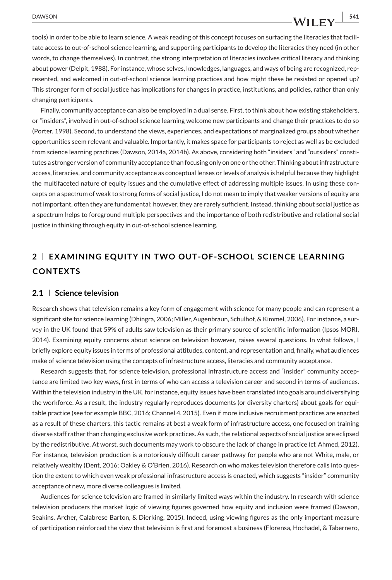tools) in order to be able to learn science. A weak reading of this concept focuses on surfacing the literacies that facilitate access to out-of-school science learning, and supporting participants to develop the literacies they need (in other words, to change themselves). In contrast, the strong interpretation of literacies involves critical literacy and thinking about power (Delpit, 1988). For instance, whose selves, knowledges, languages, and ways of being are recognized, represented, and welcomed in out-of-school science learning practices and how might these be resisted or opened up? This stronger form of social justice has implications for changes in practice, institutions, and policies, rather than only changing participants.

Finally, community acceptance can also be employed in a dual sense. First, to think about how existing stakeholders, or "insiders", involved in out-of-school science learning welcome new participants and change their practices to do so (Porter, 1998). Second, to understand the views, experiences, and expectations of marginalized groups about whether opportunities seem relevant and valuable. Importantly, it makes space for participants to reject as well as be excluded from science learning practices (Dawson, 2014a, 2014b). As above, considering both "insiders" and "outsiders" constitutes a stronger version of community acceptance than focusing only on one or the other. Thinking about infrastructure access, literacies, and community acceptance as conceptual lenses or levels of analysis is helpful because they highlight the multifaceted nature of equity issues and the cumulative effect of addressing multiple issues. In using these concepts on a spectrum of weak to strong forms of social justice, I do not mean to imply that weaker versions of equity are not important, often they are fundamental; however, they are rarely sufficient. Instead, thinking about social justice as a spectrum helps to foreground multiple perspectives and the importance of both redistributive and relational social justice in thinking through equity in out-of-school science learning.

## **2 EXAMINING EQUITY IN TWO OUT-OF-SCHOOL SCIENCE LEARNING CONTEXTS**

#### **2.1 Science television**

Research shows that television remains a key form of engagement with science for many people and can represent a significant site for science learning (Dhingra, 2006; Miller, Augenbraun, Schulhof, & Kimmel, 2006). For instance, a survey in the UK found that 59% of adults saw television as their primary source of scientific information (Ipsos MORI, 2014). Examining equity concerns about science on television however, raises several questions. In what follows, I briefly explore equity issues in terms of professional attitudes, content, and representation and, finally, what audiences make of science television using the concepts of infrastructure access, literacies and community acceptance.

Research suggests that, for science television, professional infrastructure access and "insider" community acceptance are limited two key ways, first in terms of who can access a television career and second in terms of audiences. Within the television industry in the UK, for instance, equity issues have been translated into goals around diversifying the workforce. As a result, the industry regularly reproduces documents (or diversity charters) about goals for equitable practice (see for example BBC, 2016; Channel 4, 2015). Even if more inclusive recruitment practices are enacted as a result of these charters, this tactic remains at best a weak form of infrastructure access, one focused on training diverse staff rather than changing exclusive work practices. As such, the relational aspects of social justice are eclipsed by the redistributive. At worst, such documents may work to obscure the lack of change in practice (cf. Ahmed, 2012). For instance, television production is a notoriously difficult career pathway for people who are not White, male, or relatively wealthy (Dent, 2016; Oakley & O'Brien, 2016). Research on who makes television therefore calls into question the extent to which even weak professional infrastructure access is enacted, which suggests "insider" community acceptance of new, more diverse colleagues is limited.

Audiences for science television are framed in similarly limited ways within the industry. In research with science television producers the market logic of viewing figures governed how equity and inclusion were framed (Dawson, Seakins, Archer, Calabrese Barton, & Dierking, 2015). Indeed, using viewing figures as the only important measure of participation reinforced the view that television is first and foremost a business (Florensa, Hochadel, & Tabernero,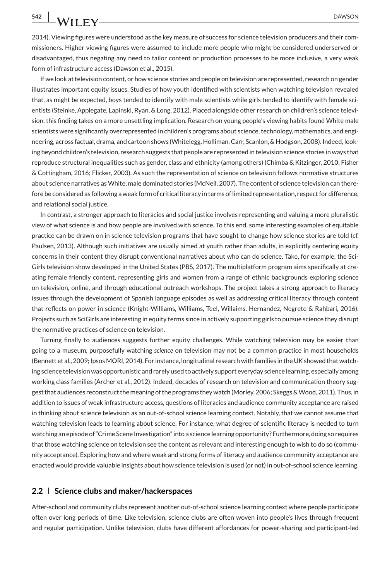2014). Viewing figures were understood as the key measure of success for science television producers and their commissioners. Higher viewing figures were assumed to include more people who might be considered underserved or disadvantaged, thus negating any need to tailor content or production processes to be more inclusive, a very weak form of infrastructure access (Dawson et al., 2015).

If we look at television content, or how science stories and people on television are represented, research on gender illustrates important equity issues. Studies of how youth identified with scientists when watching television revealed that, as might be expected, boys tended to identify with male scientists while girls tended to identify with female scientists (Steinke, Applegate, Lapinski, Ryan, & Long, 2012). Placed alongside other research on children's science television, this finding takes on a more unsettling implication. Research on young people's viewing habits found White male scientists were significantly overrepresented in children's programs about science, technology, mathematics, and engineering, across factual, drama, and cartoon shows (Whitelegg, Holliman, Carr, Scanlon, & Hodgson, 2008). Indeed, looking beyond children's television, research suggests that people are represented in television science stories in ways that reproduce structural inequalities such as gender, class and ethnicity (among others) (Chimba & Kitzinger, 2010; Fisher & Cottingham, 2016; Flicker, 2003). As such the representation of science on television follows normative structures about science narratives as White, male dominated stories (McNeil, 2007). The content of science television can therefore be considered as following a weak form of critical literacy in terms of limited representation, respect for difference, and relational social justice.

In contrast, a stronger approach to literacies and social justice involves representing and valuing a more pluralistic view of what science is and how people are involved with science. To this end, some interesting examples of equitable practice can be drawn on in science television programs that have sought to change how science stories are told (cf. Paulsen, 2013). Although such initiatives are usually aimed at youth rather than adults, in explicitly centering equity concerns in their content they disrupt conventional narratives about who can do science. Take, for example, the Sci-Girls television show developed in the United States (PBS, 2017). The multiplatform program aims specifically at creating female friendly content, representing girls and women from a range of ethnic backgrounds exploring science on television, online, and through educational outreach workshops. The project takes a strong approach to literacy issues through the development of Spanish language episodes as well as addressing critical literacy through content that reflects on power in science (Knight-Williams, Williams, Teel, Willaims, Hernandez, Negrete & Rahbari, 2016). Projects such as SciGirls are interesting in equity terms since in actively supporting girls to pursue science they disrupt the normative practices of science on television.

Turning finally to audiences suggests further equity challenges. While watching television may be easier than going to a museum, purposefully watching *science* on television may not be a common practice in most households (Bennett et al., 2009; Ipsos MORI, 2014). For instance, longitudinal research with families in the UK showed that watching science television was opportunistic and rarely used to actively support everyday science learning, especially among working class families (Archer et al., 2012). Indeed, decades of research on television and communication theory suggest that audiences reconstruct the meaning of the programs they watch (Morley, 2006; Skeggs &Wood, 2011). Thus, in addition to issues of weak infrastructure access, questions of literacies and audience community acceptance are raised in thinking about science television as an out-of-school science learning context. Notably, that we cannot assume that watching television leads to learning about science. For instance, what degree of scientific literacy is needed to turn watching an episode of "Crime Scene Investigation" into a science learning opportunity? Furthermore, doing so requires that those watching science on television see the content as relevant and interesting enough to wish to do so (community acceptance). Exploring how and where weak and strong forms of literacy and audience community acceptance are enacted would provide valuable insights about how science television is used (or not) in out-of-school science learning.

#### **2.2 Science clubs and maker/hackerspaces**

After-school and community clubs represent another out-of-school science learning context where people participate often over long periods of time. Like television, science clubs are often woven into people's lives through frequent and regular participation. Unlike television, clubs have different affordances for power-sharing and participant-led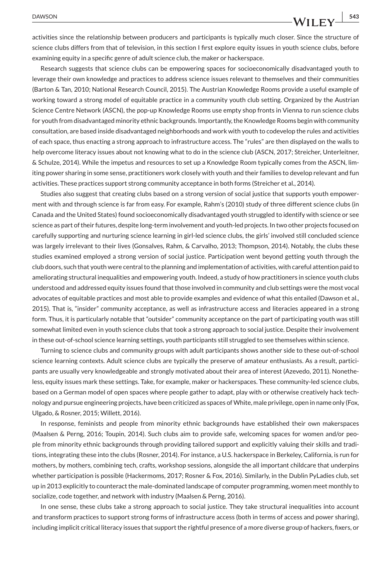activities since the relationship between producers and participants is typically much closer. Since the structure of science clubs differs from that of television, in this section I first explore equity issues in youth science clubs, before examining equity in a specific genre of adult science club, the maker or hackerspace.

Research suggests that science clubs can be empowering spaces for socioeconomically disadvantaged youth to leverage their own knowledge and practices to address science issues relevant to themselves and their communities (Barton & Tan, 2010; National Research Council, 2015). The Austrian Knowledge Rooms provide a useful example of working toward a strong model of equitable practice in a community youth club setting. Organized by the Austrian Science Centre Network (ASCN), the pop-up Knowledge Rooms use empty shop fronts in Vienna to run science clubs for youth from disadvantaged minority ethnic backgrounds. Importantly, the Knowledge Rooms begin with community consultation, are based inside disadvantaged neighborhoods and work with youth to codevelop the rules and activities of each space, thus enacting a strong approach to infrastructure access. The "rules" are then displayed on the walls to help overcome literacy issues about not knowing what to do in the science club (ASCN, 2017; Streicher, Unterleitner, & Schulze, 2014). While the impetus and resources to set up a Knowledge Room typically comes from the ASCN, limiting power sharing in some sense, practitioners work closely with youth and their families to develop relevant and fun activities. These practices support strong community acceptance in both forms (Streicher et al., 2014).

Studies also suggest that creating clubs based on a strong version of social justice that supports youth empowerment with and through science is far from easy. For example, Rahm's (2010) study of three different science clubs (in Canada and the United States) found socioeconomically disadvantaged youth struggled to identify with science or see science as part of their futures, despite long-term involvement and youth-led projects. In two other projects focused on carefully supporting and nurturing science learning in girl-led science clubs, the girls' involved still concluded science was largely irrelevant to their lives (Gonsalves, Rahm, & Carvalho, 2013; Thompson, 2014). Notably, the clubs these studies examined employed a strong version of social justice. Participation went beyond getting youth through the club doors, such that youth were central to the planning and implementation of activities, with careful attention paid to ameliorating structural inequalities and empowering youth. Indeed, a study of how practitioners in science youth clubs understood and addressed equity issues found that those involved in community and club settings were the most vocal advocates of equitable practices and most able to provide examples and evidence of what this entailed (Dawson et al., 2015). That is, "insider" community acceptance, as well as infrastructure access and literacies appeared in a strong form. Thus, it is particularly notable that "outsider" community acceptance on the part of participating youth was still somewhat limited even in youth science clubs that took a strong approach to social justice. Despite their involvement in these out-of-school science learning settings, youth participants still struggled to see themselves within science.

Turning to science clubs and community groups with adult participants shows another side to these out-of-school science learning contexts. Adult science clubs are typically the preserve of amateur enthusiasts. As a result, participants are usually very knowledgeable and strongly motivated about their area of interest (Azevedo, 2011). Nonetheless, equity issues mark these settings. Take, for example, maker or hackerspaces. These community-led science clubs, based on a German model of open spaces where people gather to adapt, play with or otherwise creatively hack technology and pursue engineering projects, have been criticized as spaces ofWhite, male privilege, open in name only (Fox, Ulgado, & Rosner, 2015; Willett, 2016).

In response, feminists and people from minority ethnic backgrounds have established their own makerspaces (Maalsen & Perng, 2016; Toupin, 2014). Such clubs aim to provide safe, welcoming spaces for women and/or people from minority ethnic backgrounds through providing tailored support and explicitly valuing their skills and traditions, integrating these into the clubs (Rosner, 2014). For instance, a U.S. hackerspace in Berkeley, California, is run for mothers, by mothers, combining tech, crafts, workshop sessions, alongside the all important childcare that underpins whether participation is possible (Hackermoms, 2017; Rosner & Fox, 2016). Similarly, in the Dublin PyLadies club, set up in 2013 explicitly to counteract the male-dominated landscape of computer programming, women meet monthly to socialize, code together, and network with industry (Maalsen & Perng, 2016).

In one sense, these clubs take a strong approach to social justice. They take structural inequalities into account and transform practices to support strong forms of infrastructure access (both in terms of access and power sharing), including implicit critical literacy issues that support the rightful presence of a more diverse group of hackers, fixers, or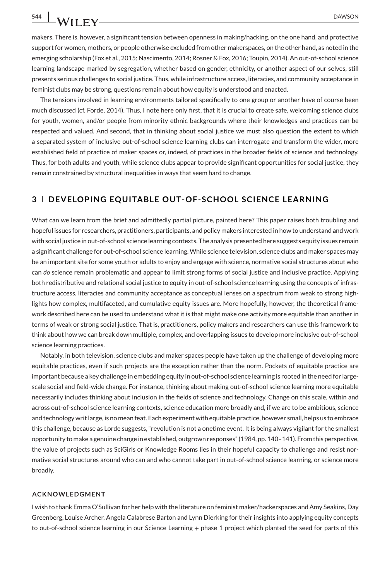makers. There is, however, a significant tension between openness in making/hacking, on the one hand, and protective support for women, mothers, or people otherwise excluded from other makerspaces, on the other hand, as noted in the emerging scholarship (Fox et al., 2015; Nascimento, 2014; Rosner & Fox, 2016; Toupin, 2014). An out-of-school science learning landscape marked by segregation, whether based on gender, ethnicity, or another aspect of our selves, still presents serious challenges to social justice. Thus, while infrastructure access, literacies, and community acceptance in feminist clubs may be strong, questions remain about how equity is understood and enacted.

The tensions involved in learning environments tailored specifically to one group or another have of course been much discussed (cf. Forde, 2014). Thus, I note here only first, that it is crucial to create safe, welcoming science clubs for youth, women, and/or people from minority ethnic backgrounds where their knowledges and practices can be respected and valued. And second, that in thinking about social justice we must also question the extent to which a separated system of inclusive out-of-school science learning clubs can interrogate and transform the wider, more established field of practice of maker spaces or, indeed, of practices in the broader fields of science and technology. Thus, for both adults and youth, while science clubs appear to provide significant opportunities for social justice, they remain constrained by structural inequalities in ways that seem hard to change.

## **3 DEVELOPING EQUITABLE OUT-OF-SCHOOL SCIENCE LEARNING**

What can we learn from the brief and admittedly partial picture, painted here? This paper raises both troubling and hopeful issues for researchers, practitioners, participants, and policy makers interested in how to understand and work with social justice in out-of-school science learning contexts. The analysis presented here suggests equity issues remain a significant challenge for out-of-school science learning. While science television, science clubs and maker spaces may be an important site for some youth or adults to enjoy and engage with science, normative social structures about who can *do* science remain problematic and appear to limit strong forms of social justice and inclusive practice. Applying both redistributive and relational social justice to equity in out-of-school science learning using the concepts of infrastructure access, literacies and community acceptance as conceptual lenses on a spectrum from weak to strong highlights how complex, multifaceted, and cumulative equity issues are. More hopefully, however, the theoretical framework described here can be used to understand what it is that might make one activity more equitable than another in terms of weak or strong social justice. That is, practitioners, policy makers and researchers can use this framework to think about how we can break down multiple, complex, and overlapping issues to develop more inclusive out-of-school science learning practices.

Notably, in both television, science clubs and maker spaces people have taken up the challenge of developing more equitable practices, even if such projects are the exception rather than the norm. Pockets of equitable practice are important because a key challenge in embedding equity in out-of-school science learning is rooted in the need for largescale social and field-wide change. For instance, thinking about making out-of-school science learning more equitable necessarily includes thinking about inclusion in the fields of science and technology. Change on this scale, within and across out-of-school science learning contexts, science education more broadly and, if we are to be ambitious, science and technology writ large, is no mean feat. Each experiment with equitable practice, however small, helps us to embrace this challenge, because as Lorde suggests, "revolution is not a onetime event. It is being always vigilant for the smallest opportunity to make a genuine change in established, outgrown responses" (1984, pp. 140–141). From this perspective, the value of projects such as SciGirls or Knowledge Rooms lies in their hopeful capacity to challenge and resist normative social structures around who can and who cannot take part in out-of-school science learning, or science more broadly.

#### **ACKNOWLEDGMENT**

I wish to thank Emma O'Sullivan for her help with the literature on feminist maker/hackerspaces and Amy Seakins, Day Greenberg, Louise Archer, Angela Calabrese Barton and Lynn Dierking for their insights into applying equity concepts to out-of-school science learning in our Science Learning + phase 1 project which planted the seed for parts of this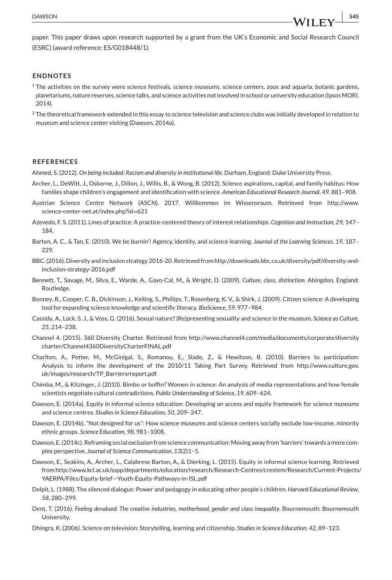paper. This paper draws upon research supported by a grant from the UK's Economic and Social Research Council (ESRC) (award reference: ES/G018448/1).

#### **ENDNOTES**

- $1$ The activities on the survey were science festivals, science museums, science centers, zoos and aquaria, botanic gardens, planetariums, nature reserves, science talks, and science activities not involved in school or university education (Ipsos MORI, 2014).
- $2$  The theoretical framework extended in this essay to science television and science clubs was initially developed in relation to museum and science center visiting (Dawson, 2014a).

#### **REFERENCES**

Ahmed, S. (2012). *On being included: Racism and diversity in institutional life*. Durham, England: Duke University Press.

- Archer, L., DeWitt, J., Osborne, J., Dillon, J., Willis, B., & Wong, B. (2012). Science aspirations, capital, and family habitus: How families shape children's engagement and identification with science. *American Educational Research Journal*, *49*, 881–908.
- Austrian Science Centre Network (ASCN). 2017. Willkommen im Wissensraum. Retrieved from [http://www.](http://www.science-center-net.at/index.php?id=621) [science-center-net.at/index.php?id](http://www.science-center-net.at/index.php?id=621)=621
- Azevedo, F. S. (2011). Lines of practice: A practice-centered theory of interest relationships. *Cognition and Instruction*, *29*, 147– 184.
- Barton, A. C., & Tan, E. (2010). We be burnin'! Agency, identity, and science learning. *Journal of the Learning Sciences*, *19*, 187– 229.
- BBC. (2016). Diversity and inclusion strategy 2016-20. Retrieved from [http://downloads.bbc.co.uk/diversity/pdf/diversity-and](http://downloads.bbc.co.uk/diversity/pdf/diversity-and-inclusion-strategy-2016.pdf)[inclusion-strategy-2016.pdf](http://downloads.bbc.co.uk/diversity/pdf/diversity-and-inclusion-strategy-2016.pdf)
- Bennett, T., Savage, M., Silva, E., Warde, A., Gayo-Cal, M., & Wright, D. (2009). *Culture, class, distinction*. Abingdon, England: Routledge.
- Bonney, R., Cooper, C. B., Dickinson, J., Kelling, S., Phillips, T., Rosenberg, K. V., & Shirk, J. (2009). Citizen science: A developing tool for expanding science knowledge and scientific literacy. *BioScience*, *59*, 977–984.
- Cassidy, A., Lock, S. J., & Voss, G. (2016). Sexual nature? (Re)presenting sexuality and science in the museum. *Science as Culture*, *25*, 214–238.
- Channel 4. (2015). 360 Diversity Charter. Retrieved from [http://www.channel4.com/media/documents/corporate/diversity](http://www.channel4.com/media/documents/corporate/diversitycharter/Channel4360DiversityCharterFINAL.pdf) [charter/Channel4360DiversityCharterFINAL.pdf](http://www.channel4.com/media/documents/corporate/diversitycharter/Channel4360DiversityCharterFINAL.pdf)
- Charlton, A., Potter, M., McGinigal, S., Romanou, E., Slade, Z., & Hewitson, B. (2010). Barriers to participation: Analysis to inform the development of the 2010/11 Taking Part Survey. Retrieved from [http://www.culture.gov.](http://www.culture.gov.uk/images/research/TP_Barriersrreport.pdf) [uk/images/research/TP\\_Barriersrreport.pdf](http://www.culture.gov.uk/images/research/TP_Barriersrreport.pdf)
- Chimba, M., & Kitzinger, J. (2010). Bimbo or boffin? Women in science: An analysis of media representations and how female scientists negotiate cultural contradictions. *Public Understanding of Science*, *19*, 609–624.
- Dawson, E. (2014a). Equity in informal science education: Developing an access and equity framework for science museums and science centres. *Studies in Science Education*, *50*, 209–247.
- Dawson, E. (2014b). "Not designed for us": How science museums and science centers socially exclude low-income, minority ethnic groups. *Science Education*, *98*, 981–1008.
- Dawson, E. (2014c). Reframing social exclusion from science communication: Moving away from 'barriers' towards a more complex perspective. *Journal of Science Communication*, *13*(2)1–5.
- Dawson, E., Seakins, A., Archer, L., Calabrese Barton, A., & Dierking, L. (2015). Equity in informal science learning. Retrieved from [http://www.kcl.ac.uk/sspp/departments/education/research/Research-Centres/crestem/Research/Current-Projects/](http://www.kcl.ac.uk/sspp/departments/education/research/Research-Centres/crestem/Research/Current-Projects/YAERPA/Files/Equity-briefYouth-Equity-Pathways-in-ISL.pdf) [YAERPA/Files/Equity-brief—Youth-Equity-Pathways-in-ISL.pdf](http://www.kcl.ac.uk/sspp/departments/education/research/Research-Centres/crestem/Research/Current-Projects/YAERPA/Files/Equity-briefYouth-Equity-Pathways-in-ISL.pdf)
- Delpit, L. (1988). The silenced dialogue: Power and pedagogy in educating other people's children. *Harvard Educational Review*, *58*, 280–299.
- Dent, T. (2016). *Feeling devalued: The creative industries, motherhood, gender and class inequality*. Bournemouth: Bournemouth University.
- Dhingra, K. (2006). Science on television: Storytelling, learning and citizenship. *Studies in Science Education*, *42*, 89–123.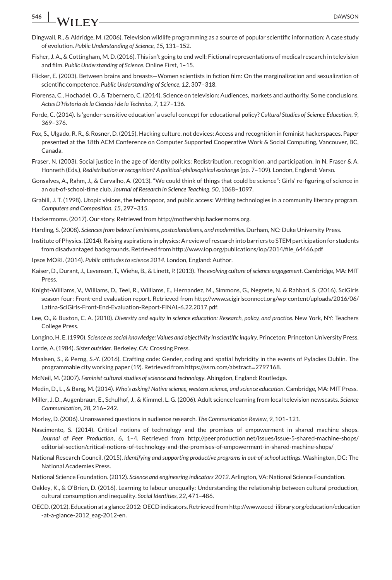# **546** DAWSON

- Dingwall, R., & Aldridge, M. (2006). Television wildlife programming as a source of popular scientific information: A case study of evolution. *Public Understanding of Science*, *15*, 131–152.
- Fisher, J. A., & Cottingham, M. D. (2016). This isn't going to end well: Fictional representations of medical research in television and film. *Public Understanding of Science*. Online First, 1–15.
- Flicker, E. (2003). Between brains and breasts—Women scientists in fiction film: On the marginalization and sexualization of scientific competence. *Public Understanding of Science*, *12*, 307–318.
- Florensa, C., Hochadel, O., & Tabernero, C. (2014). Science on television: Audiences, markets and authority. Some conclusions. *Actes D'Historia de la Ciencia i de la Technica*, *7*, 127–136.
- Forde, C. (2014). Is 'gender-sensitive education' a useful concept for educational policy? *Cultural Studies of Science Education*, *9*, 369–376.
- Fox, S., Ulgado, R. R., & Rosner, D. (2015). Hacking culture, not devices: Access and recognition in feminist hackerspaces. Paper presented at the 18th ACM Conference on Computer Supported Cooperative Work & Social Computing, Vancouver, BC, Canada.
- Fraser, N. (2003). Social justice in the age of identity politics: Redistribution, recognition, and participation. In N. Fraser & A. Honneth (Eds.), *Redistribution or recognition? A political-philosophical exchange* (pp. 7–109). London, England: Verso.
- Gonsalves, A., Rahm, J., & Carvalho, A. (2013). "We could think of things that could be science": Girls' re-figuring of science in an out-of-school-time club. *Journal of Research in Science Teaching*, *50*, 1068–1097.
- Grabill, J. T. (1998). Utopic visions, the technopoor, and public access: Writing technologies in a community literacy program. *Computers and Composition*, *15*, 297–315.
- Hackermoms. (2017). Our story. Retrieved from [http://mothership.hackermoms.org.](http://mothership.hackermoms.org)
- Harding, S. (2008). *Sciences from below: Feminisms, postcolonialisms, and modernities*. Durham, NC: Duke University Press.
- Institute of Physics. (2014). Raising aspirations in physics: A review of research into barriers to STEM participation for students from disadvantaged backgrounds. Retrieved from [http://www.iop.org/publications/iop/2014/file\\_64466.pdf](http://www.iop.org/publications/iop/2014/file_64466.pdf)
- Ipsos MORI. (2014). *Public attitudes to science 2014*. London, England: Author.
- Kaiser, D., Durant, J., Levenson, T., Wiehe, B., & Linett, P. (2013). *The evolving culture of science engagement*. Cambridge, MA: MIT Press.
- Knight-Williams, V., Williams, D., Teel, R., Williams, E., Hernandez, M., Simmons, G., Negrete, N. & Rahbari, S. (2016). SciGirls season four: Front-end evaluation report. Retrieved from [http://www.scigirlsconnect.org/wp-content/uploads/2016/06/](http://www.scigirlsconnect.org/wp-content/uploads/2016/06/Latina-SciGirls-Front-End-Evaluation-Report-FINAL-6.22.2017.pdf) [Latina-SciGirls-Front-End-Evaluation-Report-FINAL-6.22.2017.pdf.](http://www.scigirlsconnect.org/wp-content/uploads/2016/06/Latina-SciGirls-Front-End-Evaluation-Report-FINAL-6.22.2017.pdf)
- Lee, O., & Buxton, C. A. (2010). *Diversity and equity in science education: Research, policy, and practice*. New York, NY: Teachers College Press.
- Longino, H. E. (1990). *Science as social knowledge: Values and objectivity in scientific inquiry*. Princeton: Princeton University Press.

Lorde, A. (1984). *Sister outsider*. Berkeley, CA: Crossing Press.

- Maalsen, S., & Perng, S.-Y. (2016). Crafting code: Gender, coding and spatial hybridity in the events of Pyladies Dublin. The programmable city working paper (19). Retrieved from [https://ssrn.com/abstract](https://ssrn.com/abstract=2797168)=2797168.
- McNeil, M. (2007). *Feminist cultural studies of science and technology*. Abingdon, England: Routledge.
- Medin, D., L., & Bang, M. (2014). *Who's asking? Native science, western science, and science education*. Cambridge, MA: MIT Press.
- Miller, J. D., Augenbraun, E., Schulhof, J., & Kimmel, L. G. (2006). Adult science learning from local television newscasts. *Science Communication*, *28*, 216–242.
- Morley, D. (2006). Unanswered questions in audience research. *The Communication Review*, *9*, 101–121.
- Nascimento, S. (2014). Critical notions of technology and the promises of empowerment in shared machine shops. *Journal of Peer Production*, *6*, 1–4. Retrieved from [http://peerproduction.net/issues/issue-5-shared-machine-shops/](http://peerproduction.net/issues/issue-5-shared-machine-shops/editorial-section/critical-notions-of-technology-and-the-promises-of-empowerment-in-shared-machine-shops/) [editorial-section/critical-notions-of-technology-and-the-promises-of-empowerment-in-shared-machine-shops/](http://peerproduction.net/issues/issue-5-shared-machine-shops/editorial-section/critical-notions-of-technology-and-the-promises-of-empowerment-in-shared-machine-shops/)
- National Research Council. (2015). *Identifying and supporting productive programs in out-of-school settings*. Washington, DC: The National Academies Press.
- National Science Foundation. (2012). *Science and engineering indicators 2012*. Arlington, VA: National Science Foundation.
- Oakley, K., & O'Brien, D. (2016). Learning to labour unequally: Understanding the relationship between cultural production, cultural consumption and inequality. *Social Identities*, *22*, 471–486.
- OECD. (2012). Education at a glance 2012: OECD indicators. Retrieved fro[m http://www.oecd-ilibrary.org/education/education](http://www.oecd-ilibrary.org/education/education-at-a-glance-2012_eag-2012-en) [-at-a-glance-2012\\_eag-2012-en.](http://www.oecd-ilibrary.org/education/education-at-a-glance-2012_eag-2012-en)